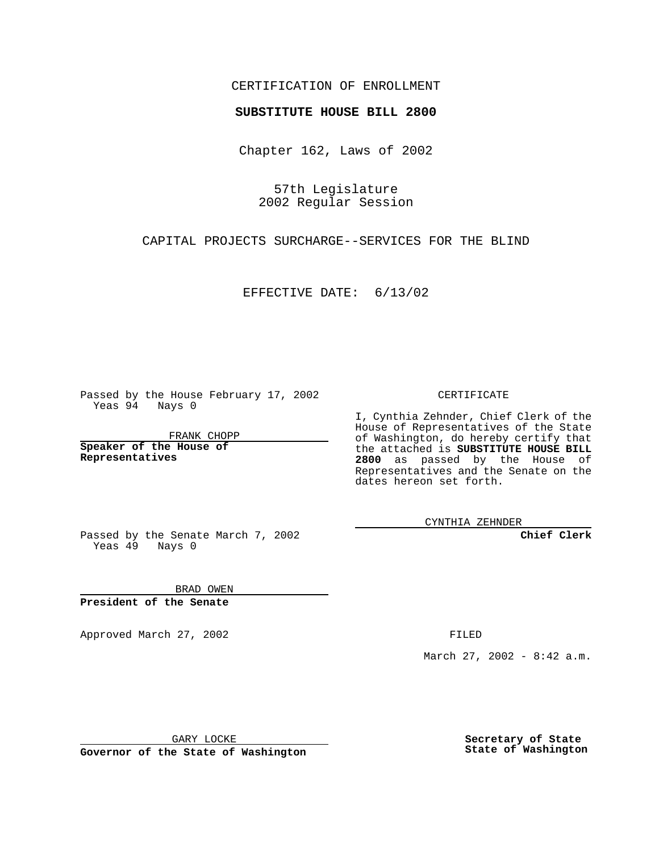## CERTIFICATION OF ENROLLMENT

## **SUBSTITUTE HOUSE BILL 2800**

Chapter 162, Laws of 2002

57th Legislature 2002 Regular Session

CAPITAL PROJECTS SURCHARGE--SERVICES FOR THE BLIND

EFFECTIVE DATE: 6/13/02

Passed by the House February 17, 2002 Yeas 94 Nays 0

FRANK CHOPP

**Speaker of the House of Representatives**

CERTIFICATE

I, Cynthia Zehnder, Chief Clerk of the House of Representatives of the State of Washington, do hereby certify that the attached is **SUBSTITUTE HOUSE BILL 2800** as passed by the House of Representatives and the Senate on the dates hereon set forth.

CYNTHIA ZEHNDER

**Chief Clerk**

Passed by the Senate March 7, 2002 Yeas  $49$  Nays 0

BRAD OWEN **President of the Senate**

Approved March 27, 2002 **FILED** 

March 27, 2002 - 8:42 a.m.

GARY LOCKE

**Governor of the State of Washington**

**Secretary of State State of Washington**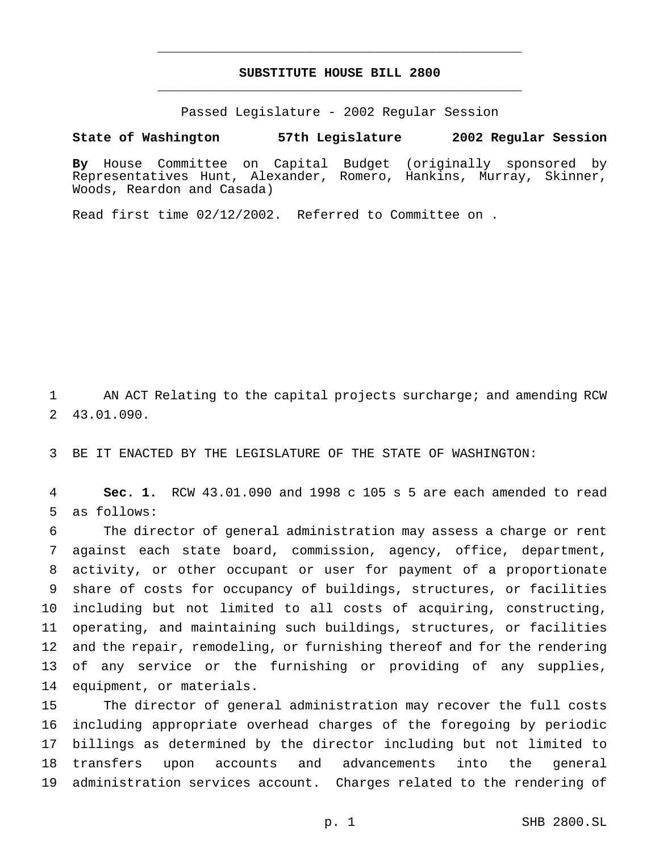## **SUBSTITUTE HOUSE BILL 2800** \_\_\_\_\_\_\_\_\_\_\_\_\_\_\_\_\_\_\_\_\_\_\_\_\_\_\_\_\_\_\_\_\_\_\_\_\_\_\_\_\_\_\_\_\_\_\_

\_\_\_\_\_\_\_\_\_\_\_\_\_\_\_\_\_\_\_\_\_\_\_\_\_\_\_\_\_\_\_\_\_\_\_\_\_\_\_\_\_\_\_\_\_\_\_

Passed Legislature - 2002 Regular Session

**State of Washington 57th Legislature 2002 Regular Session**

**By** House Committee on Capital Budget (originally sponsored by Representatives Hunt, Alexander, Romero, Hankins, Murray, Skinner, Woods, Reardon and Casada)

Read first time 02/12/2002. Referred to Committee on .

 AN ACT Relating to the capital projects surcharge; and amending RCW 43.01.090.

BE IT ENACTED BY THE LEGISLATURE OF THE STATE OF WASHINGTON:

 **Sec. 1.** RCW 43.01.090 and 1998 c 105 s 5 are each amended to read as follows:

 The director of general administration may assess a charge or rent against each state board, commission, agency, office, department, activity, or other occupant or user for payment of a proportionate share of costs for occupancy of buildings, structures, or facilities including but not limited to all costs of acquiring, constructing, operating, and maintaining such buildings, structures, or facilities and the repair, remodeling, or furnishing thereof and for the rendering of any service or the furnishing or providing of any supplies, equipment, or materials.

 The director of general administration may recover the full costs including appropriate overhead charges of the foregoing by periodic billings as determined by the director including but not limited to transfers upon accounts and advancements into the general administration services account. Charges related to the rendering of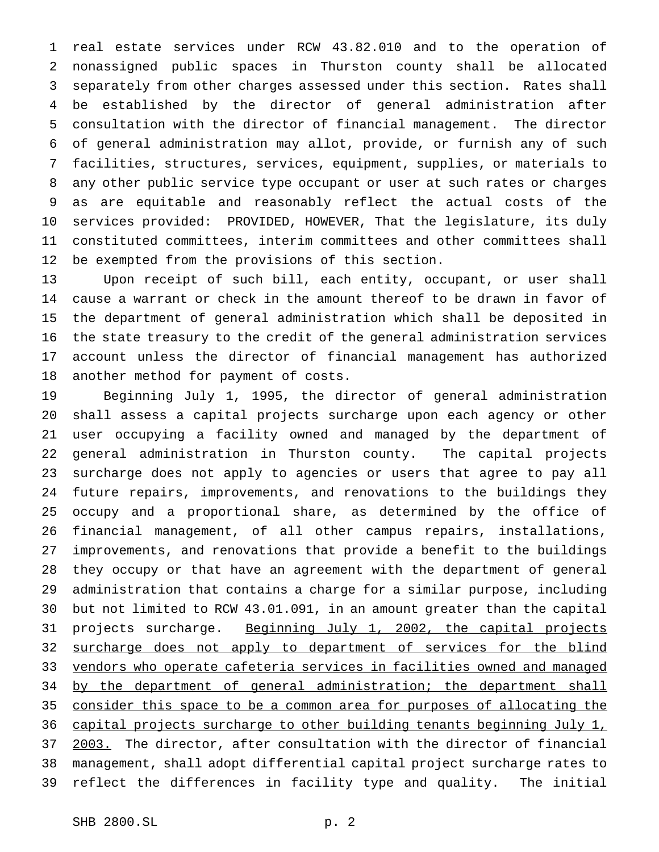real estate services under RCW 43.82.010 and to the operation of nonassigned public spaces in Thurston county shall be allocated separately from other charges assessed under this section. Rates shall be established by the director of general administration after consultation with the director of financial management. The director of general administration may allot, provide, or furnish any of such facilities, structures, services, equipment, supplies, or materials to any other public service type occupant or user at such rates or charges as are equitable and reasonably reflect the actual costs of the services provided: PROVIDED, HOWEVER, That the legislature, its duly constituted committees, interim committees and other committees shall be exempted from the provisions of this section.

 Upon receipt of such bill, each entity, occupant, or user shall cause a warrant or check in the amount thereof to be drawn in favor of the department of general administration which shall be deposited in the state treasury to the credit of the general administration services account unless the director of financial management has authorized another method for payment of costs.

 Beginning July 1, 1995, the director of general administration shall assess a capital projects surcharge upon each agency or other user occupying a facility owned and managed by the department of general administration in Thurston county. The capital projects surcharge does not apply to agencies or users that agree to pay all future repairs, improvements, and renovations to the buildings they occupy and a proportional share, as determined by the office of financial management, of all other campus repairs, installations, improvements, and renovations that provide a benefit to the buildings they occupy or that have an agreement with the department of general administration that contains a charge for a similar purpose, including but not limited to RCW 43.01.091, in an amount greater than the capital 31 projects surcharge. Beginning July 1, 2002, the capital projects 32 surcharge does not apply to department of services for the blind 33 vendors who operate cafeteria services in facilities owned and managed 34 by the department of general administration; the department shall consider this space to be a common area for purposes of allocating the capital projects surcharge to other building tenants beginning July 1, 2003. The director, after consultation with the director of financial management, shall adopt differential capital project surcharge rates to reflect the differences in facility type and quality. The initial